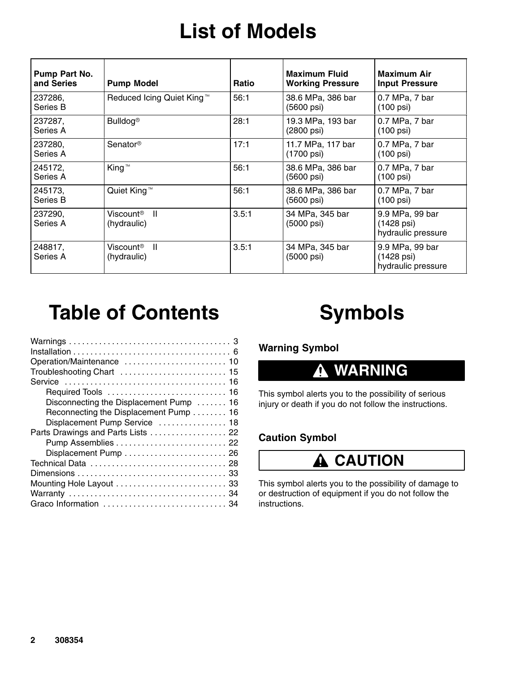## **List of Models**

| Pump Part No.<br>and Series | <b>Pump Model</b>                        | <b>Ratio</b> | <b>Maximum Fluid</b><br><b>Working Pressure</b> | <b>Maximum Air</b><br><b>Input Pressure</b>         |
|-----------------------------|------------------------------------------|--------------|-------------------------------------------------|-----------------------------------------------------|
| 237286,<br>Series B         | Reduced Icing Quiet King™                | 56:1         | 38.6 MPa, 386 bar<br>(5600 psi)                 | 0.7 MPa, 7 bar<br>$(100 \text{ psi})$               |
| 237287,<br>Series A         | <b>Bulldog®</b>                          | 28:1         | 19.3 MPa, 193 bar<br>(2800 psi)                 | 0.7 MPa, 7 bar<br>$(100 \text{ psi})$               |
| 237280,<br>Series A         | Senator <sup>®</sup>                     | 17:1         | 11.7 MPa, 117 bar<br>(1700 psi)                 | 0.7 MPa, 7 bar<br>$(100 \text{ psi})$               |
| 245172,<br>Series A         | King™                                    | 56:1         | 38.6 MPa, 386 bar<br>(5600 psi)                 | 0.7 MPa, 7 bar<br>$(100 \text{ psi})$               |
| 245173,<br>Series B         | Quiet King™                              | 56:1         | 38.6 MPa, 386 bar<br>(5600 psi)                 | 0.7 MPa, 7 bar<br>$(100 \text{ psi})$               |
| 237290,<br>Series A         | $\mathbf{I}$<br>Viscount®<br>(hydraulic) | 3.5:1        | 34 MPa, 345 bar<br>(5000 psi)                   | 9.9 MPa, 99 bar<br>(1428 psi)<br>hydraulic pressure |
| 248817,<br>Series A         | Viscount®<br>$\mathbf{I}$<br>(hydraulic) | 3.5:1        | 34 MPa, 345 bar<br>(5000 psi)                   | 9.9 MPa, 99 bar<br>(1428 psi)<br>hydraulic pressure |

## **Table of Contents**

| Disconnecting the Displacement Pump  16 |
|-----------------------------------------|
| Reconnecting the Displacement Pump 16   |
| Displacement Pump Service  18           |
| Parts Drawings and Parts Lists 22       |
|                                         |
|                                         |
|                                         |
|                                         |
|                                         |
|                                         |
|                                         |
|                                         |

# **Symbols**

**Warning Symbol**

#### **WARNING** 0

This symbol alerts you to the possibility of serious injury or death if you do not follow the instructions.

### **Caution Symbol**

### **A** CAUTION

This symbol alerts you to the possibility of damage to or destruction of equipment if you do not follow the instructions.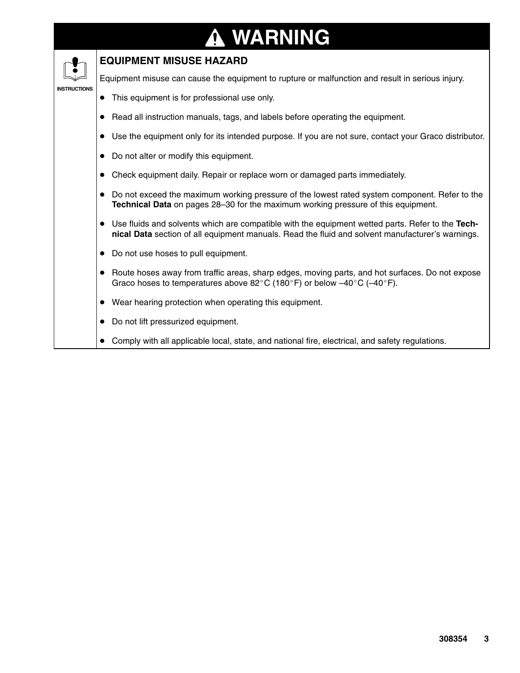#### **WARNING ↑**

#### **EQUIPMENT MISUSE HAZARD**

Equipment misuse can cause the equipment to rupture or malfunction and result in serious injury.

#### **INSTRUCTIONS**

- This equipment is for professional use only.
- Read all instruction manuals, tags, and labels before operating the equipment.
- Use the equipment only for its intended purpose. If you are not sure, contact your Graco distributor.
- Do not alter or modify this equipment.
- Check equipment daily. Repair or replace worn or damaged parts immediately.
- Do not exceed the maximum working pressure of the lowest rated system component. Refer to the **Technical Data** on pages 28–30 for the maximum working pressure of this equipment.
- Use fluids and solvents which are compatible with the equipment wetted parts. Refer to the **Technical Data** section of all equipment manuals. Read the fluid and solvent manufacturer's warnings.
- Do not use hoses to pull equipment.
- Route hoses away from traffic areas, sharp edges, moving parts, and hot surfaces. Do not expose Graco hoses to temperatures above 82°C (180°F) or below  $-40^{\circ}$ C ( $-40^{\circ}$ F).
- Wear hearing protection when operating this equipment.
- Do not lift pressurized equipment.
- Comply with all applicable local, state, and national fire, electrical, and safety regulations.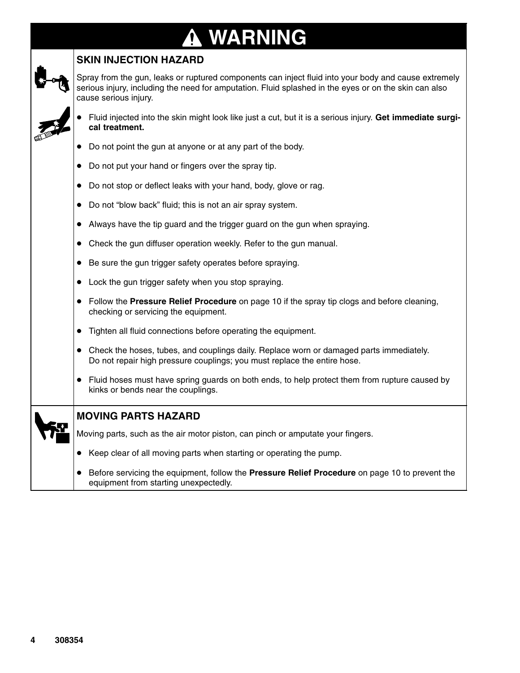# **WARNING**



### **SKIN INJECTION HAZARD**

Spray from the gun, leaks or ruptured components can inject fluid into your body and cause extremely serious injury, including the need for amputation. Fluid splashed in the eyes or on the skin can also cause serious injury.

- 
- Fluid injected into the skin might look like just a cut, but it is a serious injury. **Get immediate surgical treatment.**
- Do not point the gun at anyone or at any part of the body.
- Do not put your hand or fingers over the spray tip.
- Do not stop or deflect leaks with your hand, body, glove or rag.
- Do not "blow back" fluid; this is not an air spray system.
- Always have the tip guard and the trigger guard on the gun when spraying.
- Check the gun diffuser operation weekly. Refer to the gun manual.
- Be sure the gun trigger safety operates before spraying.
- Lock the gun trigger safety when you stop spraying.
- Follow the **Pressure Relief Procedure** on page 10 if the spray tip clogs and before cleaning, checking or servicing the equipment.
- Tighten all fluid connections before operating the equipment.
- Check the hoses, tubes, and couplings daily. Replace worn or damaged parts immediately. Do not repair high pressure couplings; you must replace the entire hose.
- Fluid hoses must have spring guards on both ends, to help protect them from rupture caused by kinks or bends near the couplings.

#### **MOVING PARTS HAZARD**

Moving parts, such as the air motor piston, can pinch or amputate your fingers.

- Keep clear of all moving parts when starting or operating the pump.
- Before servicing the equipment, follow the **Pressure Relief Procedure** on page 10 to prevent the equipment from starting unexpectedly.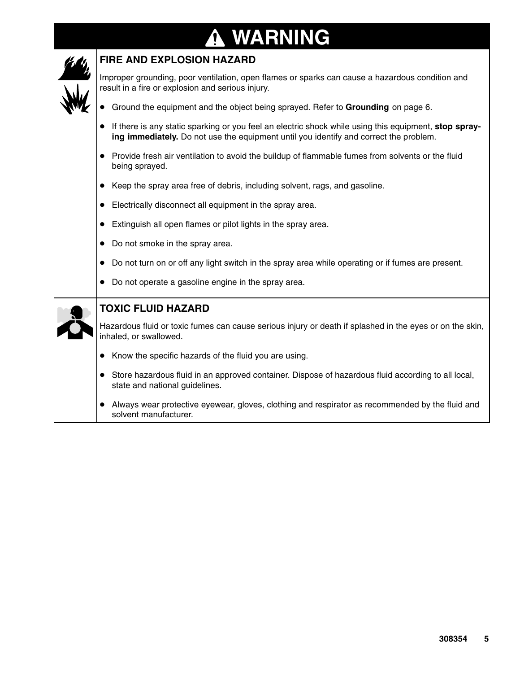#### **WARNING N**



#### **FIRE AND EXPLOSION HAZARD**

Improper grounding, poor ventilation, open flames or sparks can cause a hazardous condition and result in a fire or explosion and serious injury.

- Ground the equipment and the object being sprayed. Refer to **Grounding** on page 6.
- If there is any static sparking or you feel an electric shock while using this equipment, stop spray**ing immediately.** Do not use the equipment until you identify and correct the problem.
- Provide fresh air ventilation to avoid the buildup of flammable fumes from solvents or the fluid being sprayed.
- Keep the spray area free of debris, including solvent, rags, and gasoline.
- Electrically disconnect all equipment in the spray area.
- Extinguish all open flames or pilot lights in the spray area.
- Do not smoke in the spray area.
- Do not turn on or off any light switch in the spray area while operating or if fumes are present.
- Do not operate a gasoline engine in the spray area.

|  | <b>TOXIC FLUID HAZARD</b> |
|--|---------------------------|
|  |                           |

Hazardous fluid or toxic fumes can cause serious injury or death if splashed in the eyes or on the skin, inhaled, or swallowed.

- Know the specific hazards of the fluid you are using.
- Store hazardous fluid in an approved container. Dispose of hazardous fluid according to all local, state and national guidelines.
- Always wear protective eyewear, gloves, clothing and respirator as recommended by the fluid and solvent manufacturer.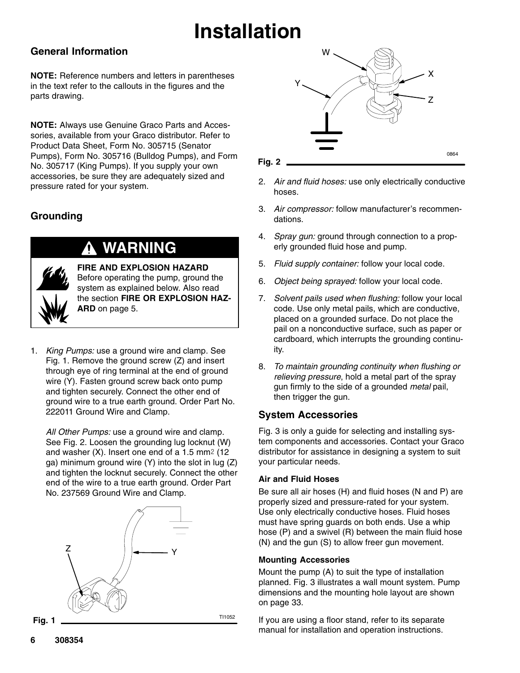#### **General Information**

**NOTE:** Reference numbers and letters in parentheses in the text refer to the callouts in the figures and the parts drawing.

**NOTE:** Always use Genuine Graco Parts and Accessories, available from your Graco distributor. Refer to Product Data Sheet, Form No. 305715 (Senator Pumps), Form No. 305716 (Bulldog Pumps), and Form No. 305717 (King Pumps). If you supply your own accessories, be sure they are adequately sized and pressure rated for your system.

### **Grounding**



### **WARNING**

**FIRE AND EXPLOSION HAZARD** Before operating the pump, ground the system as explained below. Also read the section **FIRE OR EXPLOSION HAZ-ARD** on page 5.

1. *King Pumps:* use a ground wire and clamp. See Fig. 1. Remove the ground screw (Z) and insert through eye of ring terminal at the end of ground wire (Y). Fasten ground screw back onto pump and tighten securely. Connect the other end of ground wire to a true earth ground. Order Part No. 222011 Ground Wire and Clamp.

*All Other Pumps:* use a ground wire and clamp. See Fig. 2. Loosen the grounding lug locknut (W) and washer  $(X)$ . Insert one end of a 1.5 mm<sup>2</sup> (12) ga) minimum ground wire (Y) into the slot in lug (Z) and tighten the locknut securely. Connect the other end of the wire to a true earth ground. Order Part No. 237569 Ground Wire and Clamp.





**Fig. 2**

2. *Air and fluid hoses:* use only electrically conductive hoses.

0864

- 3. *Air compressor:* follow manufacturer's recommendations.
- 4. *Spray gun:* ground through connection to a properly grounded fluid hose and pump.
- 5. *Fluid supply container:* follow your local code.
- 6. *Object being sprayed:* follow your local code.
- 7. *Solvent pails used when flushing:* follow your local code. Use only metal pails, which are conductive, placed on a grounded surface. Do not place the pail on a nonconductive surface, such as paper or cardboard, which interrupts the grounding continuity.
- 8. *To maintain grounding continuity when flushing or relieving pressure*, hold a metal part of the spray gun firmly to the side of a grounded *metal* pail, then trigger the gun.

#### **System Accessories**

Fig. 3 is only a guide for selecting and installing system components and accessories. Contact your Graco distributor for assistance in designing a system to suit your particular needs.

#### **Air and Fluid Hoses**

Be sure all air hoses (H) and fluid hoses (N and P) are properly sized and pressure-rated for your system. Use only electrically conductive hoses. Fluid hoses must have spring guards on both ends. Use a whip hose (P) and a swivel (R) between the main fluid hose (N) and the gun (S) to allow freer gun movement.

#### **Mounting Accessories**

Mount the pump (A) to suit the type of installation planned. Fig. 3 illustrates a wall mount system. Pump dimensions and the mounting hole layout are shown on page 33.

If you are using a floor stand, refer to its separate manual for installation and operation instructions.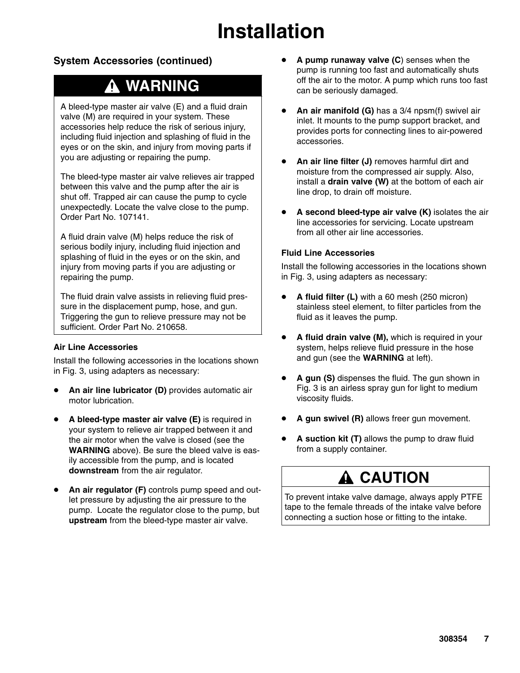### **System Accessories (continued)**

### **WARNING**

A bleed-type master air valve (E) and a fluid drain valve (M) are required in your system. These accessories help reduce the risk of serious injury, including fluid injection and splashing of fluid in the eyes or on the skin, and injury from moving parts if you are adjusting or repairing the pump.

The bleed-type master air valve relieves air trapped between this valve and the pump after the air is shut off. Trapped air can cause the pump to cycle unexpectedly. Locate the valve close to the pump. Order Part No. 107141.

A fluid drain valve (M) helps reduce the risk of serious bodily injury, including fluid injection and splashing of fluid in the eyes or on the skin, and injury from moving parts if you are adjusting or repairing the pump.

The fluid drain valve assists in relieving fluid pressure in the displacement pump, hose, and gun. Triggering the gun to relieve pressure may not be sufficient. Order Part No. 210658.

#### **Air Line Accessories**

Install the following accessories in the locations shown in Fig. 3, using adapters as necessary:

- **An air line lubricator (D)** provides automatic air motor lubrication.
- **A bleed-type master air valve (E)** is required in your system to relieve air trapped between it and the air motor when the valve is closed (see the **WARNING** above). Be sure the bleed valve is easily accessible from the pump, and is located **downstream** from the air regulator.
- **An air regulator (F)** controls pump speed and outlet pressure by adjusting the air pressure to the pump. Locate the regulator close to the pump, but **upstream** from the bleed-type master air valve.
- **A pump runaway valve (C**) senses when the pump is running too fast and automatically shuts off the air to the motor. A pump which runs too fast can be seriously damaged.
- **An air manifold (G)** has a 3/4 npsm(f) swivel air inlet. It mounts to the pump support bracket, and provides ports for connecting lines to air-powered accessories.
- **An air line filter (J)** removes harmful dirt and moisture from the compressed air supply. Also, install a **drain valve (W)** at the bottom of each air line drop, to drain off moisture.
- **A second bleed-type air valve (K)** isolates the air line accessories for servicing. Locate upstream from all other air line accessories.

#### **Fluid Line Accessories**

Install the following accessories in the locations shown in Fig. 3, using adapters as necessary:

- **A fluid filter (L)** with a 60 mesh (250 micron) stainless steel element, to filter particles from the fluid as it leaves the pump.
- **A fluid drain valve (M),** which is required in your system, helps relieve fluid pressure in the hose and gun (see the **WARNING** at left).
- **A gun (S)** dispenses the fluid. The gun shown in Fig. 3 is an airless spray gun for light to medium viscosity fluids.
- **A gun swivel (R)** allows freer gun movement.
- **A suction kit (T)** allows the pump to draw fluid from a supply container.

### **A CAUTION**

To prevent intake valve damage, always apply PTFE tape to the female threads of the intake valve before connecting a suction hose or fitting to the intake.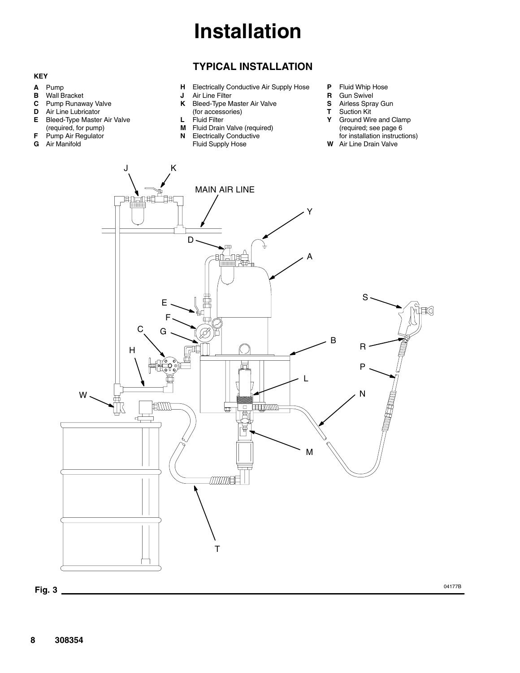#### **TYPICAL INSTALLATION**

**H** Electrically Conductive Air Supply Hose

#### **KEY**

- **A** Pump
- 
- **B** Wall Bracket<br>**C** Pump Runaw **C** Pump Runaway Valve<br>**D** Air Line Lubricator
- **Air Line Lubricator**
- **E** Bleed-Type Master Air Valve
- (required, for pump) **F** Pump Air Regulator
- **G** Air Manifold
- **K** Bleed-Type Master Air Valve (for accessories)
- **L** Fluid Filter<br>**M** Fluid Drain

**J** Air Line Filter

- **Fluid Drain Valve (required)**
- **N** Electrically Conductive Fluid Supply Hose
- **P** Fluid Whip Hose
- **R** Gun Swivel<br>**S** Airless Spra
	- **S** Airless Spray Gun
- **T** Suction Kit
- **Y** Ground Wire and Clamp (required; see page 6 for installation instructions)
- **W** Air Line Drain Valve

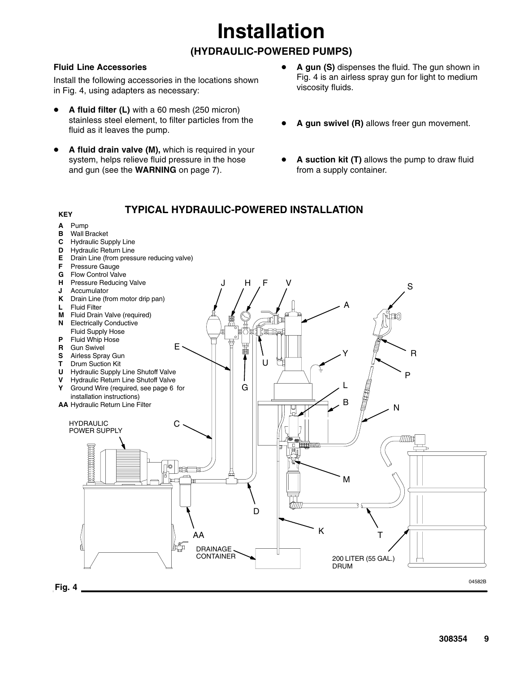### **(HYDRAULIC-POWERED PUMPS)**

#### **Fluid Line Accessories**

Install the following accessories in the locations shown in Fig. 4, using adapters as necessary:

- **A fluid filter (L)** with a 60 mesh (250 micron) stainless steel element, to filter particles from the fluid as it leaves the pump.
- **A fluid drain valve (M),** which is required in your system, helps relieve fluid pressure in the hose and gun (see the **WARNING** on page 7).
- **A gun (S)** dispenses the fluid. The gun shown in Fig. 4 is an airless spray gun for light to medium viscosity fluids.
- **A gun swivel (R)** allows freer gun movement.
- **A suction kit (T)** allows the pump to draw fluid from a supply container.

#### **TYPICAL HYDRAULIC-POWERED INSTALLATIONKEY A** Pump **Wall Bracket C** Hydraulic Supply Line **D** Hydraulic Return Line **E** Drain Line (from pressure reducing valve) **F** Pressure Gauge **G** Flow Control Valve **H** Pressure Reducing Valve J H F V S **J** Accumulator **K** Drain Line (from motor drip pan) A **L** Fluid Filter **M** Fluid Drain Valve (required) ∎ে **N** Electrically Conductive Fluid Supply Hose ∏tn⊟B **P** Fluid Whip Hose **R** Gun Swivel E R Y **S** Airless Spray Gun<br>**T** Drum Suction Kit **Drum Suction Kit**  $\mathbf{U}$ **U** Hydraulic Supply Line Shutoff Valve P **V** Hydraulic Return Line Shutoff Valve L G **Y** Ground Wire (required, see page 6 for installation instructions) B **AA** Hydraulic Return Line Filter N HYDRAULIC  $\cap$ POWER SUPPLY **mana mana** o 邮邮 M  $\mathsf{D}$ K AA T DRAINAGE CONTAINER 200 LITER (55 GAL.) DRUM 04582B **Fig. 4**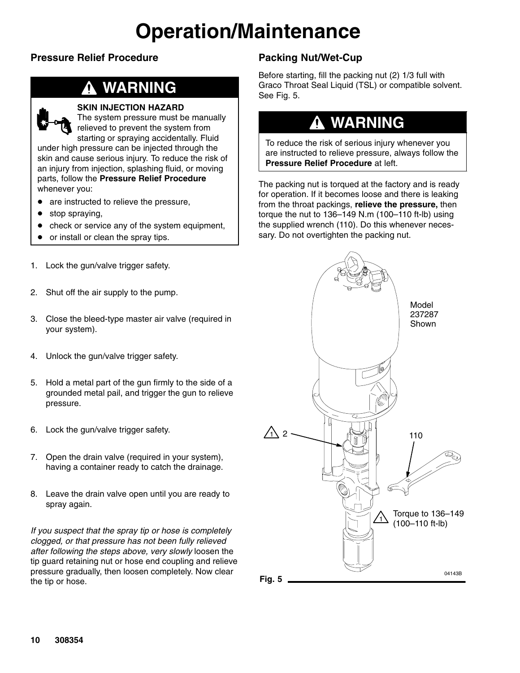#### **Pressure Relief Procedure**

### **WARNING**

#### **SKIN INJECTION HAZARD**

The system pressure must be manually relieved to prevent the system from starting or spraying accidentally. Fluid under high pressure can be injected through the skin and cause serious injury. To reduce the risk of an injury from injection, splashing fluid, or moving parts, follow the **Pressure Relief Procedure** whenever you:

- are instructed to relieve the pressure,
- stop spraying,
- check or service any of the system equipment,
- or install or clean the spray tips.
- 1. Lock the gun/valve trigger safety.
- 2. Shut off the air supply to the pump.
- 3. Close the bleed-type master air valve (required in your system).
- 4. Unlock the gun/valve trigger safety.
- 5. Hold a metal part of the gun firmly to the side of a grounded metal pail, and trigger the gun to relieve pressure.
- 6. Lock the gun/valve trigger safety.
- 7. Open the drain valve (required in your system), having a container ready to catch the drainage.
- 8. Leave the drain valve open until you are ready to spray again.

*If you suspect that the spray tip or hose is completely clogged, or that pressure has not been fully relieved after following the steps above, very slowly* loosen the tip guard retaining nut or hose end coupling and relieve pressure gradually, then loosen completely. Now clear the tip or hose.

#### **Packing Nut/Wet-Cup**

Before starting, fill the packing nut (2) 1/3 full with Graco Throat Seal Liquid (TSL) or compatible solvent. See Fig. 5.

### **WARNING**

To reduce the risk of serious injury whenever you are instructed to relieve pressure, always follow the **Pressure Relief Procedure** at left.

The packing nut is torqued at the factory and is ready for operation. If it becomes loose and there is leaking from the throat packings, **relieve the pressure,** then torque the nut to 136–149 N.m (100–110 ft-lb) using the supplied wrench (110). Do this whenever necessary. Do not overtighten the packing nut.

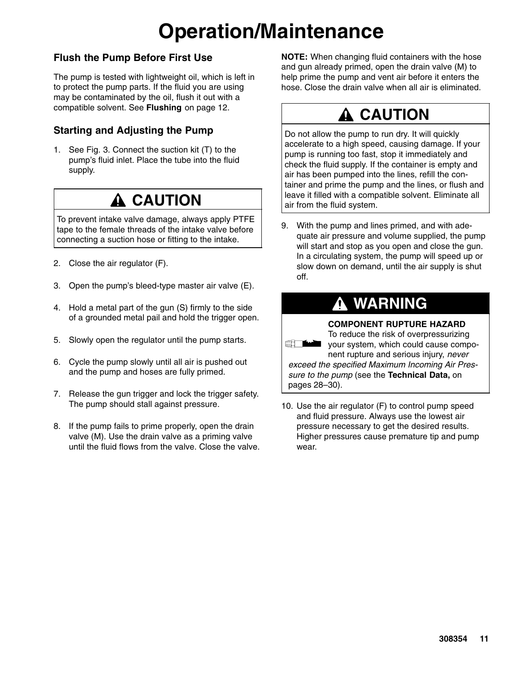#### **Flush the Pump Before First Use**

The pump is tested with lightweight oil, which is left in to protect the pump parts. If the fluid you are using may be contaminated by the oil, flush it out with a compatible solvent. See **Flushing** on page 12.

#### **Starting and Adjusting the Pump**

1. See Fig. 3. Connect the suction kit (T) to the pump's fluid inlet. Place the tube into the fluid supply.

## **CAUTION**

To prevent intake valve damage, always apply PTFE tape to the female threads of the intake valve before connecting a suction hose or fitting to the intake.

- 2. Close the air regulator (F).
- 3. Open the pump's bleed-type master air valve (E).
- 4. Hold a metal part of the gun (S) firmly to the side of a grounded metal pail and hold the trigger open.
- 5. Slowly open the regulator until the pump starts.
- 6. Cycle the pump slowly until all air is pushed out and the pump and hoses are fully primed.
- 7. Release the gun trigger and lock the trigger safety. The pump should stall against pressure.
- 8. If the pump fails to prime properly, open the drain valve (M). Use the drain valve as a priming valve until the fluid flows from the valve. Close the valve.

**NOTE:** When changing fluid containers with the hose and gun already primed, open the drain valve (M) to help prime the pump and vent air before it enters the hose. Close the drain valve when all air is eliminated.

## **A CAUTION**

Do not allow the pump to run dry. It will quickly accelerate to a high speed, causing damage. If your pump is running too fast, stop it immediately and check the fluid supply. If the container is empty and air has been pumped into the lines, refill the container and prime the pump and the lines, or flush and leave it filled with a compatible solvent. Eliminate all air from the fluid system.

9. With the pump and lines primed, and with adequate air pressure and volume supplied, the pump will start and stop as you open and close the gun. In a circulating system, the pump will speed up or slow down on demand, until the air supply is shut off.

### **WARNING**

#### **COMPONENT RUPTURE HAZARD**

To reduce the risk of overpressurizing your system, which could cause compo-

nent rupture and serious injury, *never exceed the specified Maximum Incoming Air Pressure to the pump* (see the **Technical Data,** on pages 28–30).

10. Use the air regulator (F) to control pump speed and fluid pressure. Always use the lowest air pressure necessary to get the desired results. Higher pressures cause premature tip and pump wear.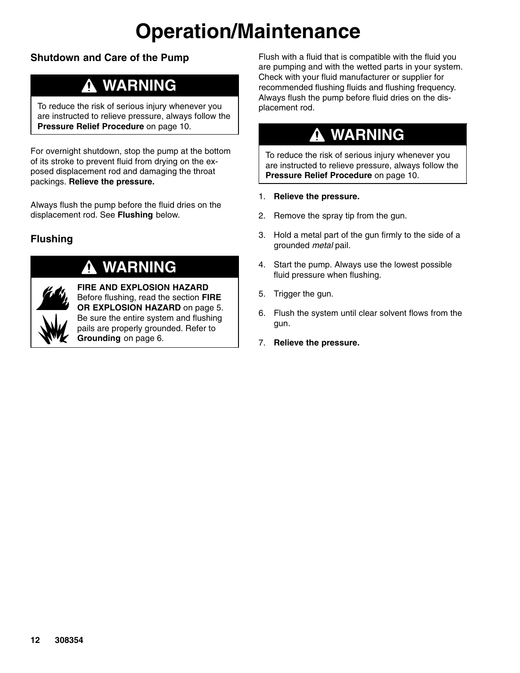#### **Shutdown and Care of the Pump**

### **WARNING**

To reduce the risk of serious injury whenever you are instructed to relieve pressure, always follow the **Pressure Relief Procedure** on page 10.

For overnight shutdown, stop the pump at the bottom of its stroke to prevent fluid from drying on the exposed displacement rod and damaging the throat packings. **Relieve the pressure.**

Always flush the pump before the fluid dries on the displacement rod. See **Flushing** below.

### **Flushing**



### **WARNING**

**FIRE AND EXPLOSION HAZARD** Before flushing, read the section **FIRE OR EXPLOSION HAZARD** on page 5. Be sure the entire system and flushing pails are properly grounded. Refer to **Grounding** on page 6.

Flush with a fluid that is compatible with the fluid you are pumping and with the wetted parts in your system. Check with your fluid manufacturer or supplier for recommended flushing fluids and flushing frequency. Always flush the pump before fluid dries on the displacement rod.

### **WARNING**

To reduce the risk of serious injury whenever you are instructed to relieve pressure, always follow the **Pressure Relief Procedure** on page 10.

- 1. **Relieve the pressure.**
- 2. Remove the spray tip from the gun.
- 3. Hold a metal part of the gun firmly to the side of a grounded *metal* pail.
- 4. Start the pump. Always use the lowest possible fluid pressure when flushing.
- 5. Trigger the gun.
- 6. Flush the system until clear solvent flows from the gun.
- 7. **Relieve the pressure.**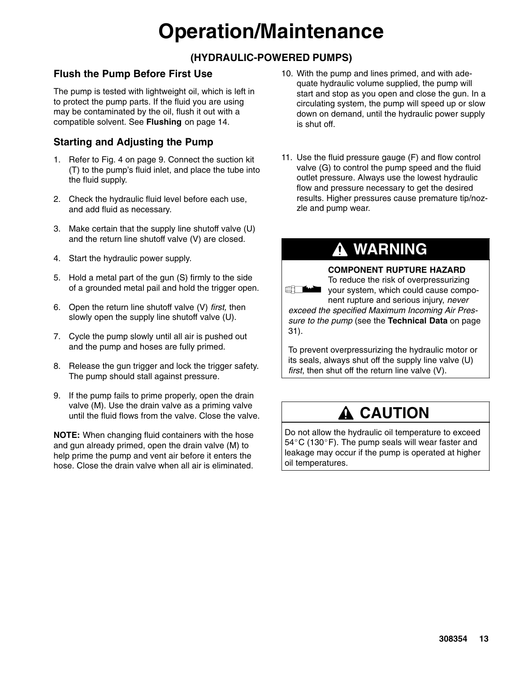### **(HYDRAULIC-POWERED PUMPS)**

#### **Flush the Pump Before First Use**

The pump is tested with lightweight oil, which is left in to protect the pump parts. If the fluid you are using may be contaminated by the oil, flush it out with a compatible solvent. See **Flushing** on page 14.

### **Starting and Adjusting the Pump**

- 1. Refer to Fig. 4 on page 9. Connect the suction kit (T) to the pump's fluid inlet, and place the tube into the fluid supply.
- 2. Check the hydraulic fluid level before each use, and add fluid as necessary.
- 3. Make certain that the supply line shutoff valve (U) and the return line shutoff valve (V) are closed.
- 4. Start the hydraulic power supply.
- 5. Hold a metal part of the gun (S) firmly to the side of a grounded metal pail and hold the trigger open.
- 6. Open the return line shutoff valve (V) *first,* then slowly open the supply line shutoff valve (U).
- 7. Cycle the pump slowly until all air is pushed out and the pump and hoses are fully primed.
- 8. Release the gun trigger and lock the trigger safety. The pump should stall against pressure.
- 9. If the pump fails to prime properly, open the drain valve (M). Use the drain valve as a priming valve until the fluid flows from the valve. Close the valve.

**NOTE:** When changing fluid containers with the hose and gun already primed, open the drain valve (M) to help prime the pump and vent air before it enters the hose. Close the drain valve when all air is eliminated.

- 10. With the pump and lines primed, and with adequate hydraulic volume supplied, the pump will start and stop as you open and close the gun. In a circulating system, the pump will speed up or slow down on demand, until the hydraulic power supply is shut off.
- 11. Use the fluid pressure gauge (F) and flow control valve (G) to control the pump speed and the fluid outlet pressure. Always use the lowest hydraulic flow and pressure necessary to get the desired results. Higher pressures cause premature tip/nozzle and pump wear.

### **WARNING**

#### **COMPONENT RUPTURE HAZARD**

To reduce the risk of overpressurizing your system, which could cause component rupture and serious injury, *never exceed the specified Maximum Incoming Air Pressure to the pump* (see the **Technical Data** on page 31).

To prevent overpressurizing the hydraulic motor or its seals, always shut off the supply line valve (U) *first*, then shut off the return line valve (V).

### **A CAUTION**

Do not allow the hydraulic oil temperature to exceed  $54^{\circ}$ C (130 $^{\circ}$ F). The pump seals will wear faster and leakage may occur if the pump is operated at higher oil temperatures.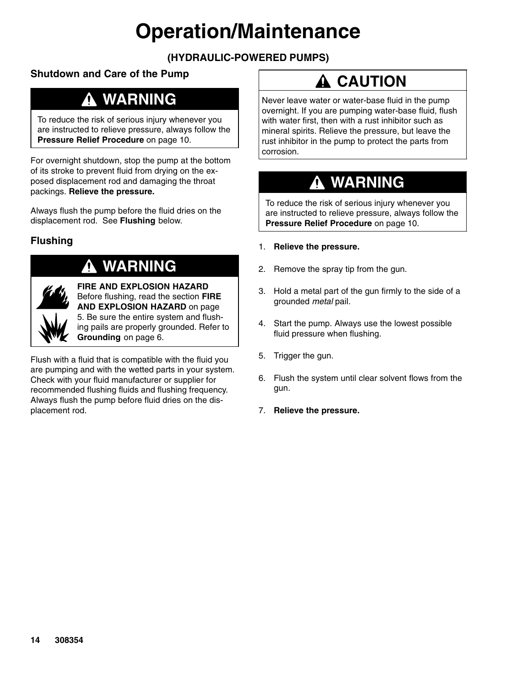### **(HYDRAULIC-POWERED PUMPS)**

### **Shutdown and Care of the Pump**

### **WARNING**

To reduce the risk of serious injury whenever you are instructed to relieve pressure, always follow the **Pressure Relief Procedure** on page 10.

For overnight shutdown, stop the pump at the bottom of its stroke to prevent fluid from drying on the exposed displacement rod and damaging the throat packings. **Relieve the pressure.**

Always flush the pump before the fluid dries on the displacement rod. See **Flushing** below.

### **Flushing**

### **WARNING**

**FIRE AND EXPLOSION HAZARD** Before flushing, read the section **FIRE AND EXPLOSION HAZARD** on page 5. Be sure the entire system and flushing pails are properly grounded. Refer to **Grounding** on page 6.

Flush with a fluid that is compatible with the fluid you are pumping and with the wetted parts in your system. Check with your fluid manufacturer or supplier for recommended flushing fluids and flushing frequency. Always flush the pump before fluid dries on the displacement rod.

## **A CAUTION**

Never leave water or water-base fluid in the pump overnight. If you are pumping water-base fluid, flush with water first, then with a rust inhibitor such as mineral spirits. Relieve the pressure, but leave the rust inhibitor in the pump to protect the parts from corrosion.

## **WARNING**

To reduce the risk of serious injury whenever you are instructed to relieve pressure, always follow the **Pressure Relief Procedure** on page 10.

- 1. **Relieve the pressure.**
- 2. Remove the spray tip from the gun.
- 3. Hold a metal part of the gun firmly to the side of a grounded *metal* pail.
- 4. Start the pump. Always use the lowest possible fluid pressure when flushing.
- 5. Trigger the gun.
- 6. Flush the system until clear solvent flows from the gun.
- 7. **Relieve the pressure.**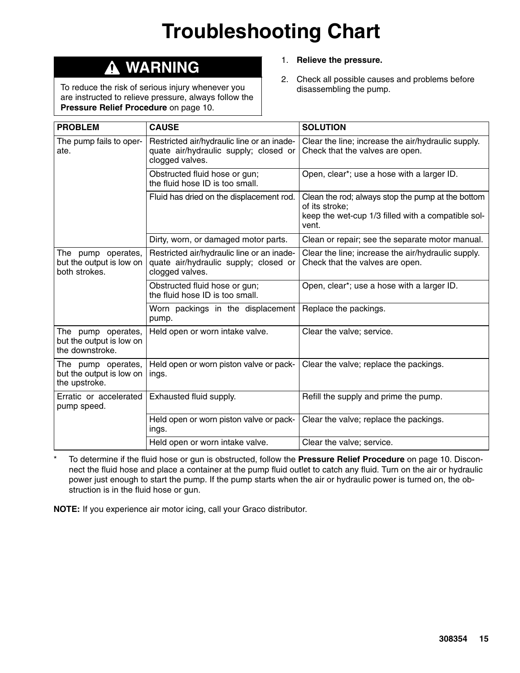# **Troubleshooting Chart**

## **WARNING**

To reduce the risk of serious injury whenever you are instructed to relieve pressure, always follow the **Pressure Relief Procedure** on page 10.

- 1. **Relieve the pressure.**
- 2. Check all possible causes and problems before disassembling the pump.

| <b>PROBLEM</b>                                                    | <b>CAUSE</b>                                                                                           | <b>SOLUTION</b>                                                                                                                    |
|-------------------------------------------------------------------|--------------------------------------------------------------------------------------------------------|------------------------------------------------------------------------------------------------------------------------------------|
| The pump fails to oper-<br>ate.                                   | Restricted air/hydraulic line or an inade-<br>quate air/hydraulic supply; closed or<br>clogged valves. | Clear the line; increase the air/hydraulic supply.<br>Check that the valves are open.                                              |
|                                                                   | Obstructed fluid hose or gun;<br>the fluid hose ID is too small.                                       | Open, clear*; use a hose with a larger ID.                                                                                         |
|                                                                   | Fluid has dried on the displacement rod.                                                               | Clean the rod; always stop the pump at the bottom<br>of its stroke;<br>keep the wet-cup 1/3 filled with a compatible sol-<br>vent. |
|                                                                   | Dirty, worn, or damaged motor parts.                                                                   | Clean or repair; see the separate motor manual.                                                                                    |
| The pump operates,<br>but the output is low on<br>both strokes.   | Restricted air/hydraulic line or an inade-<br>quate air/hydraulic supply; closed or<br>clogged valves. | Clear the line; increase the air/hydraulic supply.<br>Check that the valves are open.                                              |
|                                                                   | Obstructed fluid hose or gun;<br>the fluid hose ID is too small.                                       | Open, clear*; use a hose with a larger ID.                                                                                         |
|                                                                   | Worn packings in the displacement<br>pump.                                                             | Replace the packings.                                                                                                              |
| The pump operates,<br>but the output is low on<br>the downstroke. | Held open or worn intake valve.                                                                        | Clear the valve; service.                                                                                                          |
| The pump operates,<br>but the output is low on<br>the upstroke.   | Held open or worn piston valve or pack-<br>ings.                                                       | Clear the valve; replace the packings.                                                                                             |
| Erratic or accelerated<br>pump speed.                             | Exhausted fluid supply.                                                                                | Refill the supply and prime the pump.                                                                                              |
|                                                                   | Held open or worn piston valve or pack-<br>ings.                                                       | Clear the valve; replace the packings.                                                                                             |
|                                                                   | Held open or worn intake valve.                                                                        | Clear the valve; service.                                                                                                          |

\* To determine if the fluid hose or gun is obstructed, follow the **Pressure Relief Procedure** on page 10. Disconnect the fluid hose and place a container at the pump fluid outlet to catch any fluid. Turn on the air or hydraulic power just enough to start the pump. If the pump starts when the air or hydraulic power is turned on, the obstruction is in the fluid hose or gun.

**NOTE:** If you experience air motor icing, call your Graco distributor.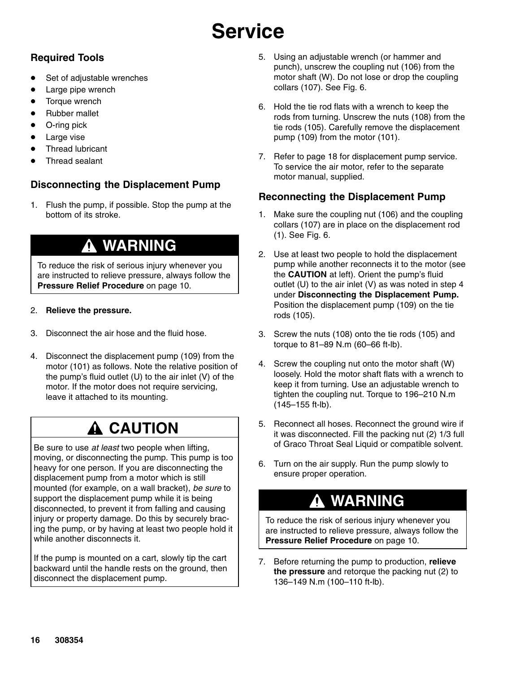### **Required Tools**

- Set of adjustable wrenches
- Large pipe wrench
- Torque wrench
- Rubber mallet
- O-ring pick
- Large vise
- Thread lubricant
- Thread sealant

### **Disconnecting the Displacement Pump**

1. Flush the pump, if possible. Stop the pump at the bottom of its stroke.

### **WARNING**

To reduce the risk of serious injury whenever you are instructed to relieve pressure, always follow the **Pressure Relief Procedure** on page 10.

#### 2. **Relieve the pressure.**

- 3. Disconnect the air hose and the fluid hose.
- 4. Disconnect the displacement pump (109) from the motor (101) as follows. Note the relative position of the pump's fluid outlet (U) to the air inlet (V) of the motor. If the motor does not require servicing, leave it attached to its mounting.

## **A CAUTION**

Be sure to use *at least* two people when lifting, moving, or disconnecting the pump. This pump is too heavy for one person. If you are disconnecting the displacement pump from a motor which is still mounted (for example, on a wall bracket), *be sure* to support the displacement pump while it is being disconnected, to prevent it from falling and causing injury or property damage. Do this by securely bracing the pump, or by having at least two people hold it while another disconnects it.

If the pump is mounted on a cart, slowly tip the cart backward until the handle rests on the ground, then disconnect the displacement pump.

- 5. Using an adjustable wrench (or hammer and punch), unscrew the coupling nut (106) from the motor shaft (W). Do not lose or drop the coupling collars (107). See Fig. 6.
- 6. Hold the tie rod flats with a wrench to keep the rods from turning. Unscrew the nuts (108) from the tie rods (105). Carefully remove the displacement pump (109) from the motor (101).
- 7. Refer to page 18 for displacement pump service. To service the air motor, refer to the separate motor manual, supplied.

#### **Reconnecting the Displacement Pump**

- 1. Make sure the coupling nut (106) and the coupling collars (107) are in place on the displacement rod (1). See Fig. 6.
- 2. Use at least two people to hold the displacement pump while another reconnects it to the motor (see the **CAUTION** at left). Orient the pump's fluid outlet (U) to the air inlet (V) as was noted in step 4 under **Disconnecting the Displacement Pump.** Position the displacement pump (109) on the tie rods (105).
- 3. Screw the nuts (108) onto the tie rods (105) and torque to 81–89 N.m (60–66 ft-lb).
- 4. Screw the coupling nut onto the motor shaft (W) loosely. Hold the motor shaft flats with a wrench to keep it from turning. Use an adjustable wrench to tighten the coupling nut. Torque to 196–210 N.m (145–155 ft-lb).
- 5. Reconnect all hoses. Reconnect the ground wire if it was disconnected. Fill the packing nut (2) 1/3 full of Graco Throat Seal Liquid or compatible solvent.
- 6. Turn on the air supply. Run the pump slowly to ensure proper operation.

### **WARNING**

To reduce the risk of serious injury whenever you are instructed to relieve pressure, always follow the **Pressure Relief Procedure** on page 10.

7. Before returning the pump to production, **relieve the pressure** and retorque the packing nut (2) to 136–149 N.m (100–110 ft-lb).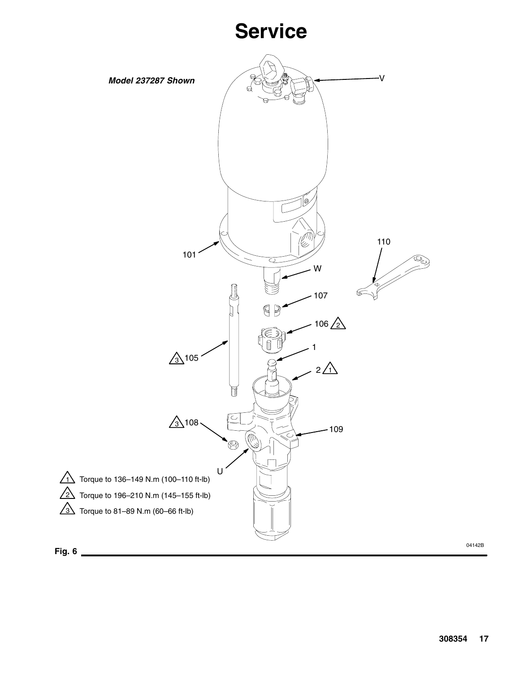

04142B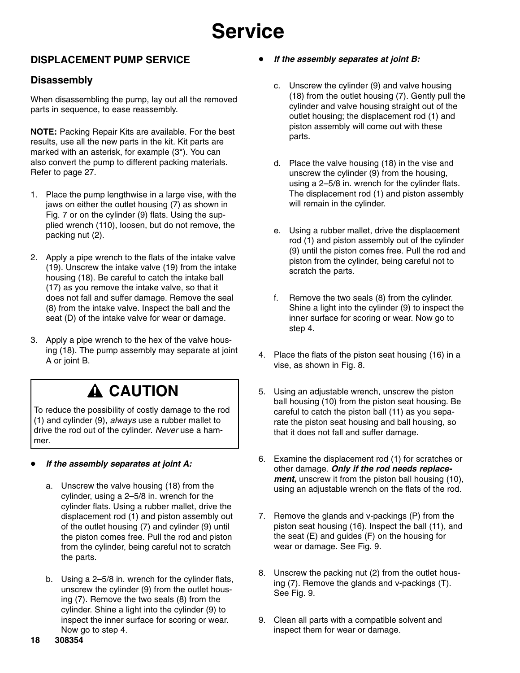### **DISPLACEMENT PUMP SERVICE**

#### **Disassembly**

When disassembling the pump, lay out all the removed parts in sequence, to ease reassembly.

**NOTE:** Packing Repair Kits are available. For the best results, use all the new parts in the kit. Kit parts are marked with an asterisk, for example (3\*). You can also convert the pump to different packing materials. Refer to page 27.

- 1. Place the pump lengthwise in a large vise, with the jaws on either the outlet housing (7) as shown in Fig. 7 or on the cylinder (9) flats. Using the supplied wrench (110), loosen, but do not remove, the packing nut (2).
- 2. Apply a pipe wrench to the flats of the intake valve (19). Unscrew the intake valve (19) from the intake housing (18). Be careful to catch the intake ball (17) as you remove the intake valve, so that it does not fall and suffer damage. Remove the seal (8) from the intake valve. Inspect the ball and the seat (D) of the intake valve for wear or damage.
- 3. Apply a pipe wrench to the hex of the valve housing (18). The pump assembly may separate at joint A or joint B.

### **A CAUTION**

To reduce the possibility of costly damage to the rod (1) and cylinder (9), *always* use a rubber mallet to drive the rod out of the cylinder. *Never* use a hammer.

#### *If the assembly separates at joint A:*

- a. Unscrew the valve housing (18) from the cylinder, using a 2–5/8 in. wrench for the cylinder flats. Using a rubber mallet, drive the displacement rod (1) and piston assembly out of the outlet housing (7) and cylinder (9) until the piston comes free. Pull the rod and piston from the cylinder, being careful not to scratch the parts.
- b. Using a 2–5/8 in. wrench for the cylinder flats, unscrew the cylinder (9) from the outlet housing (7). Remove the two seals (8) from the cylinder. Shine a light into the cylinder (9) to inspect the inner surface for scoring or wear. Now go to step 4.
- *If the assembly separates at joint B:*
	- c. Unscrew the cylinder (9) and valve housing (18) from the outlet housing (7). Gently pull the cylinder and valve housing straight out of the outlet housing; the displacement rod (1) and piston assembly will come out with these parts.
	- d. Place the valve housing (18) in the vise and unscrew the cylinder (9) from the housing, using a 2–5/8 in. wrench for the cylinder flats. The displacement rod (1) and piston assembly will remain in the cylinder.
	- e. Using a rubber mallet, drive the displacement rod (1) and piston assembly out of the cylinder (9) until the piston comes free. Pull the rod and piston from the cylinder, being careful not to scratch the parts.
	- f. Remove the two seals (8) from the cylinder. Shine a light into the cylinder (9) to inspect the inner surface for scoring or wear. Now go to step 4.
- 4. Place the flats of the piston seat housing (16) in a vise, as shown in Fig. 8.
- 5. Using an adjustable wrench, unscrew the piston ball housing (10) from the piston seat housing. Be careful to catch the piston ball (11) as you separate the piston seat housing and ball housing, so that it does not fall and suffer damage.
- 6. Examine the displacement rod (1) for scratches or other damage. *Only if the rod needs replacement,* unscrew it from the piston ball housing (10), using an adjustable wrench on the flats of the rod.
- 7. Remove the glands and v-packings (P) from the piston seat housing (16). Inspect the ball (11), and the seat (E) and guides (F) on the housing for wear or damage. See Fig. 9.
- 8. Unscrew the packing nut (2) from the outlet housing (7). Remove the glands and v-packings (T). See Fig. 9.
- 9. Clean all parts with a compatible solvent and inspect them for wear or damage.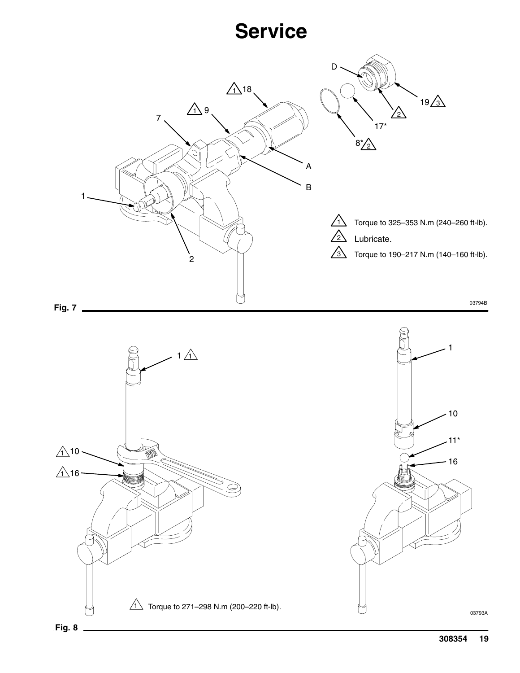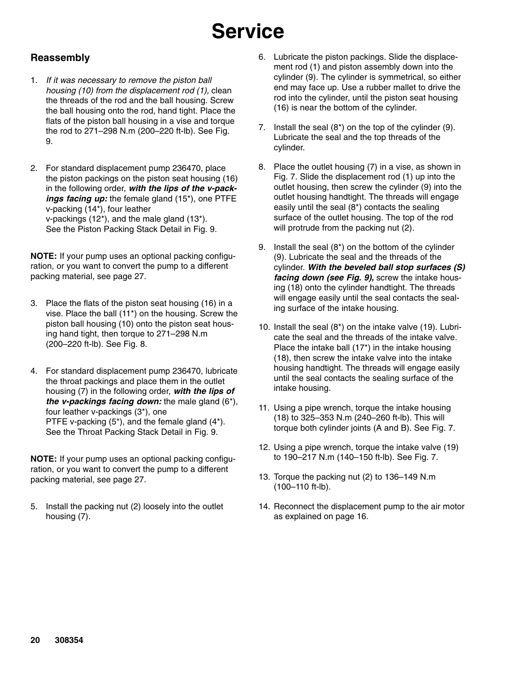#### **Reassembly**

- 1. *If it was necessary to remove the piston ball housing (10) from the displacement rod (1),* clean the threads of the rod and the ball housing. Screw the ball housing onto the rod, hand tight. Place the flats of the piston ball housing in a vise and torque the rod to 271–298 N.m (200–220 ft-lb). See Fig. 9.
- 2. For standard displacement pump 236470, place the piston packings on the piston seat housing (16) in the following order, *with the lips of the v-packings facing up:* the female gland (15\*), one PTFE v-packing (14\*), four leather v-packings (12\*), and the male gland (13\*). See the Piston Packing Stack Detail in Fig. 9.

**NOTE:** If your pump uses an optional packing configuration, or you want to convert the pump to a different packing material, see page 27.

- 3. Place the flats of the piston seat housing (16) in a vise. Place the ball (11\*) on the housing. Screw the piston ball housing (10) onto the piston seat housing hand tight, then torque to 271–298 N.m (200–220 ft-lb). See Fig. 8.
- 4. For standard displacement pump 236470, lubricate the throat packings and place them in the outlet housing (7) in the following order, *with the lips of the v-packings facing down:* the male gland (6\*), four leather v-packings (3\*), one PTFE v-packing (5\*), and the female gland (4\*). See the Throat Packing Stack Detail in Fig. 9.

**NOTE:** If your pump uses an optional packing configuration, or you want to convert the pump to a different packing material, see page 27.

5. Install the packing nut (2) loosely into the outlet housing (7).

- 6. Lubricate the piston packings. Slide the displacement rod (1) and piston assembly down into the cylinder (9). The cylinder is symmetrical, so either end may face up. Use a rubber mallet to drive the rod into the cylinder, until the piston seat housing (16) is near the bottom of the cylinder.
- 7. Install the seal (8\*) on the top of the cylinder (9). Lubricate the seal and the top threads of the cylinder.
- 8. Place the outlet housing (7) in a vise, as shown in Fig. 7. Slide the displacement rod (1) up into the outlet housing, then screw the cylinder (9) into the outlet housing handtight. The threads will engage easily until the seal (8\*) contacts the sealing surface of the outlet housing. The top of the rod will protrude from the packing nut (2).
- 9. Install the seal (8\*) on the bottom of the cylinder (9). Lubricate the seal and the threads of the cylinder. *With the beveled ball stop surfaces (S) facing down (see Fig. 9),* screw the intake housing (18) onto the cylinder handtight. The threads will engage easily until the seal contacts the sealing surface of the intake housing.
- 10. Install the seal (8\*) on the intake valve (19). Lubricate the seal and the threads of the intake valve. Place the intake ball (17\*) in the intake housing (18), then screw the intake valve into the intake housing handtight. The threads will engage easily until the seal contacts the sealing surface of the intake housing.
- 11. Using a pipe wrench, torque the intake housing (18) to 325–353 N.m (240–260 ft-lb). This will torque both cylinder joints (A and B). See Fig. 7.
- 12. Using a pipe wrench, torque the intake valve (19) to 190–217 N.m (140–150 ft-lb). See Fig. 7.
- 13. Torque the packing nut (2) to 136–149 N.m (100–110 ft-lb).
- 14. Reconnect the displacement pump to the air motor as explained on page 16.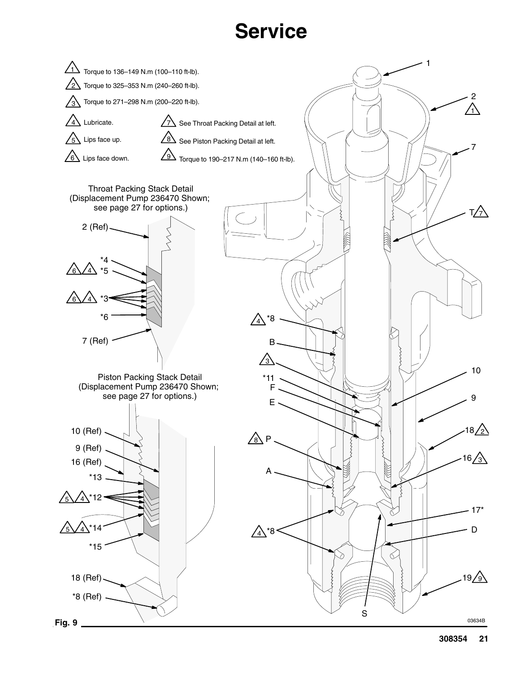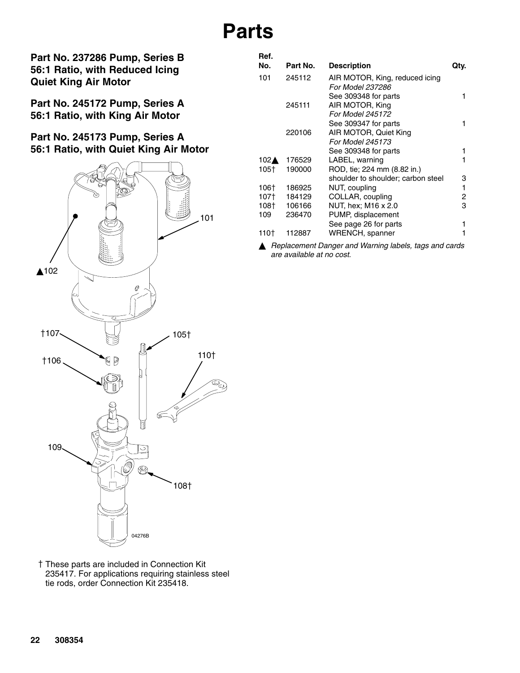## **Parts**

**Part No. 237286 Pump, Series B 56:1 Ratio, with Reduced Icing Quiet King Air Motor**

**Part No. 245172 Pump, Series A 56:1 Ratio, with King Air Motor**

**Part No. 245173 Pump, Series A 56:1 Ratio, with Quiet King Air Motor**



| Ref. |          |                                    |      |
|------|----------|------------------------------------|------|
| No.  | Part No. | <b>Description</b>                 | Qty. |
| 101  | 245112   | AIR MOTOR, King, reduced icing     |      |
|      |          | For Model 237286                   |      |
|      |          | See 309348 for parts               | 1    |
|      | 245111   | AIR MOTOR, King                    |      |
|      |          | For Model 245172                   |      |
|      |          | See 309347 for parts               | 1    |
|      | 220106   | AIR MOTOR, Quiet King              |      |
|      |          | For Model 245173                   |      |
|      |          | See 309348 for parts               | 1    |
| 102▲ | 176529   | LABEL, warning                     | 1    |
| 105† | 190000   | ROD, tie; 224 mm (8.82 in.)        |      |
|      |          | shoulder to shoulder; carbon steel | 3    |
| 106† | 186925   | NUT, coupling                      | 1    |
| 107† | 184129   | COLLAR, coupling                   | 2    |
| 108† | 106166   | NUT, hex; M16 x 2.0                | 3    |
| 109  | 236470   | PUMP, displacement                 |      |
|      |          | See page 26 for parts              | 1    |

110 | 112887 WRENCH, spanner 1 *Replacement Danger and Warning labels, tags and cards are available at no cost.*

These parts are included in Connection Kit 235417. For applications requiring stainless steel tie rods, order Connection Kit 235418.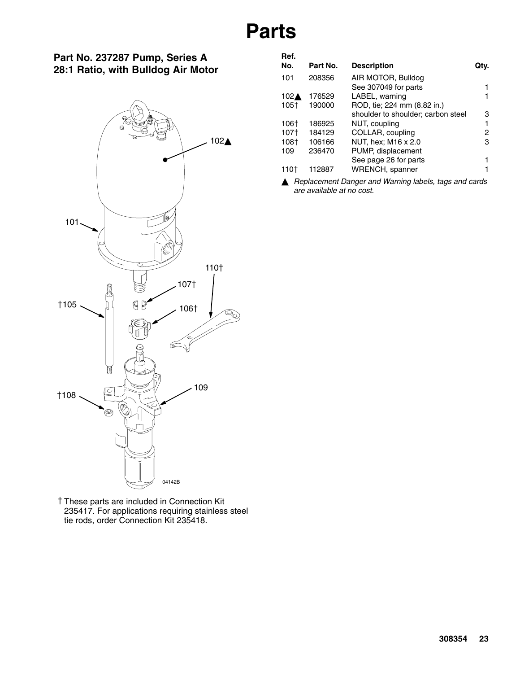## **Parts**

**Ref.**

#### **Part No. 237287 Pump, Series A 28:1 Ratio, with Bulldog Air Motor**



| neı.<br>No.     | Part No. | <b>Description</b>                 | Qtv. |
|-----------------|----------|------------------------------------|------|
| 101             | 208356   | AIR MOTOR, Bulldog                 |      |
|                 |          | See 307049 for parts               | 1    |
| $102 \triangle$ | 176529   | LABEL, warning                     | 1    |
| 105†            | 190000   | ROD, tie; 224 mm (8.82 in.)        |      |
|                 |          | shoulder to shoulder; carbon steel | 3    |
| 106†            | 186925   | NUT, coupling                      | 1    |
| 107†            | 184129   | COLLAR, coupling                   | 2    |
| 108†            | 106166   | NUT, hex; M16 x 2.0                | 3    |
| 109             | 236470   | PUMP, displacement                 |      |
|                 |          | See page 26 for parts              | 1    |
|                 | 112887   | WRENCH, spanner                    | 1    |
|                 |          |                                    |      |

 *Replacement Danger and Warning labels, tags and cards are available at no cost.*

These parts are included in Connection Kit 235417. For applications requiring stainless steel tie rods, order Connection Kit 235418.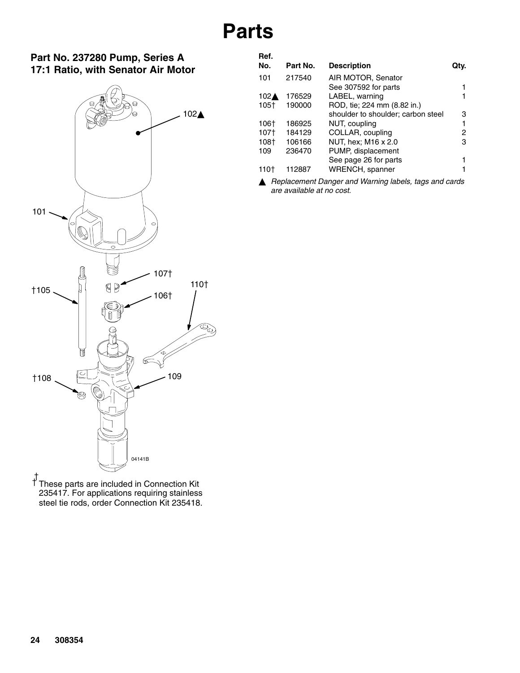#### **Part No. 237280 Pump, Series A 17:1 Ratio, with Senator Air Motor**



**Ref.** Part No. Description **Qty.** 101 217540 AIR MOTOR, Senator See 307592 for parts 1 102**4** 176529 LABEL, warning 1 105<sup> $\dagger$ </sup> 190000 ROD, tie; 224 mm (8.82 in.) shoulder to shoulder; carbon steel 3 106 | 186925 NUT, coupling 1 107† 184129 COLLAR, coupling 2<br>108† 106166 NUT, hex; M16 x 2.0 3 108 | 106166 NUT, hex; M16 x 2.0<br>109 236470 PUMP, displacement PUMP, displacement See page 26 for parts 1 110 | 112887 WRENCH, spanner 1

 *Replacement Danger and Warning labels, tags and cards are available at no cost.*

These parts are included in Connection Kit 235417. For applications requiring stainless steel tie rods, order Connection Kit 235418. ŧ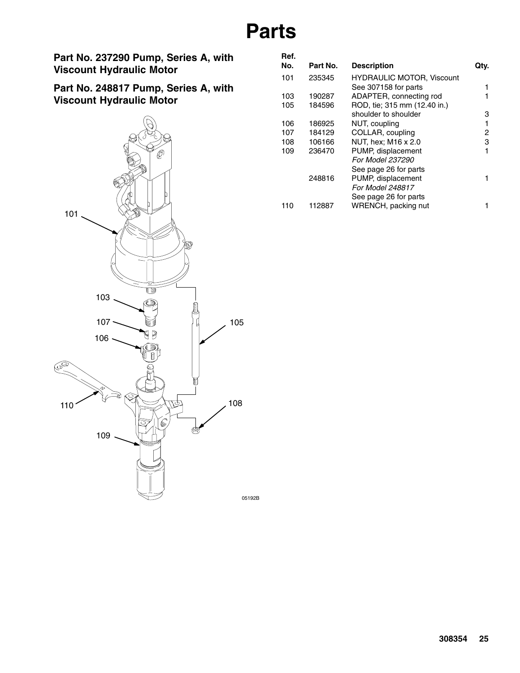## **Parts**

**Part No. 237290 Pump, Series A, with Viscount Hydraulic Motor**

**Part No. 248817 Pump, Series A, with Viscount Hydraulic Motor**



| Part No. | <b>Description</b>               | Qtv. |
|----------|----------------------------------|------|
| 235345   | <b>HYDRAULIC MOTOR, Viscount</b> |      |
|          | See 307158 for parts             |      |
| 190287   | ADAPTER, connecting rod          |      |
| 184596   | ROD, tie; 315 mm (12.40 in.)     |      |
|          | shoulder to shoulder             | 3    |
| 186925   | NUT, coupling                    | 1    |
| 184129   | COLLAR, coupling                 | 2    |
| 106166   | NUT, hex; M16 x 2.0              | 3    |
| 236470   | PUMP, displacement               | 1    |
|          | <i>For Model 237290</i>          |      |
|          | See page 26 for parts            |      |
| 248816   | PUMP, displacement               | 1    |
|          | For Model 248817                 |      |
|          | See page 26 for parts            |      |
| 112887   | WRENCH, packing nut              |      |
|          |                                  |      |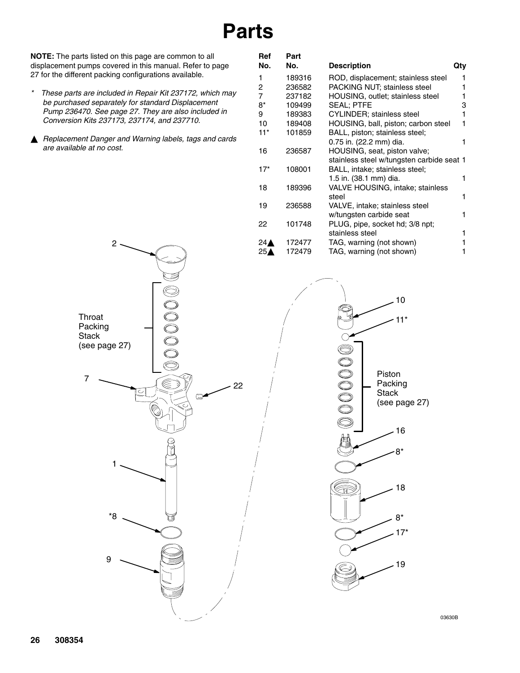## **Parts**

**NOTE:** The parts listed on this page are common to all displacement pumps covered in this manual. Refer to page 27 for the different packing configurations available.

- *\* These parts are included in Repair Kit 237172, which may be purchased separately for standard Displacement Pump 236470. See page 27. They are also included in Conversion Kits 237173, 237174, and 237710.*
- *Replacement Danger and Warning labels, tags and cards are available at no cost.*

2

| Ref            | Part   |                                           |     |
|----------------|--------|-------------------------------------------|-----|
| No.            | No.    | <b>Description</b>                        | Qty |
| 1              | 189316 | ROD, displacement; stainless steel        | 1   |
| 2              | 236582 | PACKING NUT; stainless steel              |     |
| $\overline{7}$ | 237182 | <b>HOUSING, outlet; stainless steel</b>   |     |
| 8*             | 109499 | <b>SEAL: PTFE</b>                         | 3   |
| 9              | 189383 | CYLINDER; stainless steel                 |     |
| 10             | 189408 | HOUSING, ball, piston; carbon steel       | 1   |
| 11*            | 101859 | BALL, piston; stainless steel;            |     |
|                |        | 0.75 in. (22.2 mm) dia.                   |     |
| 16             | 236587 | HOUSING, seat, piston valve;              |     |
|                |        | stainless steel w/tungsten carbide seat 1 |     |
| $17*$          | 108001 | BALL, intake; stainless steel;            |     |
|                |        | 1.5 in. (38.1 mm) dia.                    | 1   |
| 18             | 189396 | VALVE HOUSING, intake; stainless          |     |
|                |        | steel                                     |     |
| 19             | 236588 | VALVE, intake; stainless steel            |     |
|                |        | w/tungsten carbide seat                   |     |
| 22             | 101748 | PLUG, pipe, socket hd; 3/8 npt;           |     |
|                |        | stainless steel                           | 1   |
| 24⊉            | 172477 | TAG, warning (not shown)                  |     |
| 25,            | 172479 | TAG, warning (not shown)                  |     |



03630B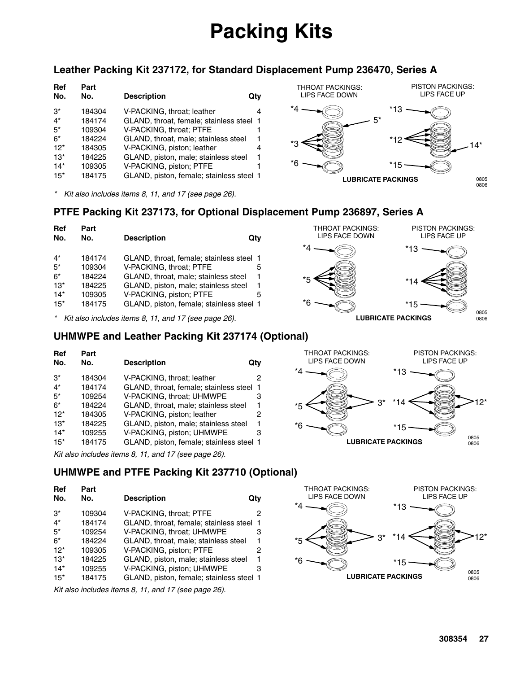# **Packing Kits**

#### **Leather Packing Kit 237172, for Standard Displacement Pump 236470, Series A**

| Ref<br>No. | Part<br>No. | <b>Description</b>                       | Qtv |
|------------|-------------|------------------------------------------|-----|
| $3^*$      | 184304      | V-PACKING, throat; leather               | 4   |
| $4^*$      | 184174      | GLAND, throat, female; stainless steel   |     |
| $5^*$      | 109304      | V-PACKING, throat: PTFE                  |     |
| 6*         | 184224      | GLAND, throat, male; stainless steel     | 1   |
| $12*$      | 184305      | V-PACKING, piston; leather               | 4   |
| $13*$      | 184225      | GLAND, piston, male; stainless steel     | 1   |
| $14*$      | 109305      | V-PACKING, piston; PTFE                  |     |
| $15*$      | 184175      | GLAND, piston, female; stainless steel 1 |     |
|            |             |                                          |     |

*\* Kit also includes items 8, 11, and 17 (see page 26).*



THROAT PACKINGS: LIPS FACE DOWN

\*4

\*5

\*6

#### **PTFE Packing Kit 237173, for Optional Displacement Pump 236897, Series A**

| Ref<br>No. | Part<br>No. | <b>Description</b>                       | Qtv |
|------------|-------------|------------------------------------------|-----|
| $4^*$      | 184174      | GLAND, throat, female; stainless steel 1 |     |
| $5^*$      | 109304      | V-PACKING, throat; PTFE                  | 5   |
| $6*$       | 184224      | GLAND, throat, male; stainless steel     | 1   |
| $13*$      | 184225      | GLAND, piston, male; stainless steel     | 1   |
| $14*$      | 109305      | V-PACKING, piston; PTFE                  | 5   |
| $15*$      | 184175      | GLAND, piston, female; stainless steel 1 |     |

*\* Kit also includes items 8, 11, and 17 (see page 26).*

#### **UHMWPE and Leather Packing Kit 237174 (Optional)**

| Ref   | Part   |                                                                                                       |     |
|-------|--------|-------------------------------------------------------------------------------------------------------|-----|
| No.   | No.    | <b>Description</b>                                                                                    | Qtv |
| $3^*$ | 184304 | V-PACKING, throat; leather                                                                            | 2   |
| $4^*$ | 184174 | GLAND, throat, female; stainless steel                                                                | 1   |
| $5^*$ | 109254 | V-PACKING, throat; UHMWPE                                                                             | З   |
| $6*$  | 184224 | GLAND, throat, male; stainless steel                                                                  | 1   |
| $12*$ | 184305 | V-PACKING, piston; leather                                                                            | 2   |
| $13*$ | 184225 | GLAND, piston, male; stainless steel                                                                  | 1   |
| $14*$ | 109255 | V-PACKING, piston; UHMWPE                                                                             | З   |
| $15*$ | 184175 | GLAND, piston, female; stainless steel 1                                                              |     |
|       |        | $1/2$ and $1/2$ and $1/2$ and $1/2$ and $1/2$ and $1/2$ and $1/2$ and $1/2$ and $1/2$ $1/2$ and $1/2$ |     |

*Kit also includes items 8, 11, and 17 (see page 26).*

### **UHMWPE and PTFE Packing Kit 237710 (Optional)**

| Ref<br>No. | Part<br>No. | <b>Description</b>                       | Qtv |
|------------|-------------|------------------------------------------|-----|
| $3^*$      | 109304      | V-PACKING, throat; PTFE                  | 2   |
| $4^*$      | 184174      | GLAND, throat, female; stainless steel   | -1  |
| $5*$       | 109254      | V-PACKING, throat; UHMWPE                | 3   |
| $6*$       | 184224      | GLAND, throat, male; stainless steel     | 1   |
| $12*$      | 109305      | V-PACKING, piston; PTFE                  | 2   |
| $13*$      | 184225      | GLAND, piston, male; stainless steel     | 1   |
| $14*$      | 109255      | V-PACKING, piston; UHMWPE                | 3   |
| $15*$      | 184175      | GLAND, piston, female; stainless steel 1 |     |

*Kit also includes items 8, 11, and 17 (see page 26).*



0806

0805

PISTON PACKINGS: LIPS FACE UP

\*14

\*13

\*15



**LUBRICATE PACKINGS**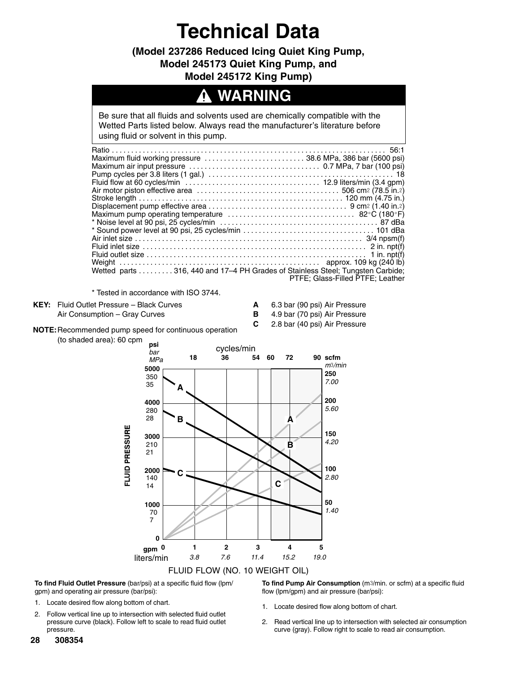**(Model 237286 Reduced Icing Quiet King Pump, Model 245173 Quiet King Pump, and Model 245172 King Pump)**

### **WARNING**

Be sure that all fluids and solvents used are chemically compatible with the Wetted Parts listed below. Always read the manufacturer's literature before using fluid or solvent in this pump.

| Maximum fluid working pressure 38.6 MPa, 386 bar (5600 psi)                    |                                  |
|--------------------------------------------------------------------------------|----------------------------------|
|                                                                                |                                  |
|                                                                                |                                  |
|                                                                                |                                  |
|                                                                                |                                  |
|                                                                                |                                  |
|                                                                                |                                  |
|                                                                                |                                  |
|                                                                                |                                  |
|                                                                                |                                  |
|                                                                                |                                  |
|                                                                                |                                  |
|                                                                                |                                  |
|                                                                                |                                  |
| Wetted parts 316, 440 and 17–4 PH Grades of Stainless Steel; Tungsten Carbide; |                                  |
|                                                                                | PTFE: Glass-Filled PTFE: Leather |

\* Tested in accordance with ISO 3744.

**KEY:** Fluid Outlet Pressure – Black Curves **A** 6.3 bar (90 psi) Air Pressure

Air Consumption – Gray Curves **B** 4.9 bar (70 psi) Air Pressure

**C** 2.8 bar (40 psi) Air Pressure

**NOTE:**Recommended pump speed for continuous operation

(to shaded area): 60 cpm



**To find Fluid Outlet Pressure** (bar/psi) at a specific fluid flow (lpm/ gpm) and operating air pressure (bar/psi):

- 1. Locate desired flow along bottom of chart.
- 2. Follow vertical line up to intersection with selected fluid outlet pressure curve (black). Follow left to scale to read fluid outlet pressure.

**To find Pump Air Consumption** (m3/min. or scfm) at a specific fluid flow (lpm/gpm) and air pressure (bar/psi):

- 1. Locate desired flow along bottom of chart.
- 2. Read vertical line up to intersection with selected air consumption curve (gray). Follow right to scale to read air consumption.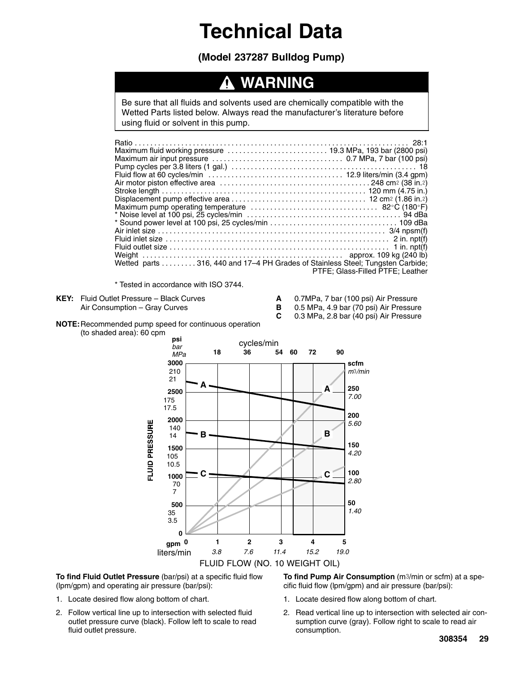**(Model 237287 Bulldog Pump)**

### **WARNING**

Be sure that all fluids and solvents used are chemically compatible with the Wetted Parts listed below. Always read the manufacturer's literature before using fluid or solvent in this pump.

| Wetted parts 316, 440 and 17–4 PH Grades of Stainless Steel; Tungsten Carbide; |                                  |
|--------------------------------------------------------------------------------|----------------------------------|
|                                                                                | PTFE: Glass-Filled PTFE: Leather |

\* Tested in accordance with ISO 3744.

- **KEY:** Fluid Outlet Pressure Black Curves **A** 0.7MPa, 7 bar (100 psi) Air Pressure<br>Air Consumption Gray Curves **B** 0.5 MPa, 4.9 bar (70 psi) Air Pressure Air Consumption – Gray Curves **B** 0.5 MPa, 4.9 bar (70 psi) Air Pressure
- 

**C** 0.3 MPa, 2.8 bar (40 psi) Air Pressure

#### **NOTE:**Recommended pump speed for continuous operation (to shaded area): 60 cpm



**To find Fluid Outlet Pressure** (bar/psi) at a specific fluid flow (lpm/gpm) and operating air pressure (bar/psi):

- 1. Locate desired flow along bottom of chart.
- 2. Follow vertical line up to intersection with selected fluid outlet pressure curve (black). Follow left to scale to read fluid outlet pressure.

**To find Pump Air Consumption** (m3/min or scfm) at a specific fluid flow (lpm/gpm) and air pressure (bar/psi):

- 1. Locate desired flow along bottom of chart.
- 2. Read vertical line up to intersection with selected air consumption curve (gray). Follow right to scale to read air consumption.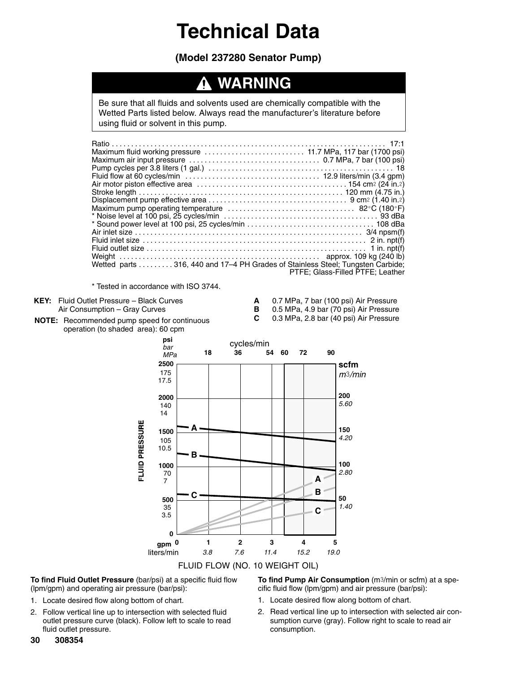#### **(Model 237280 Senator Pump)**

### **WARNING**

Be sure that all fluids and solvents used are chemically compatible with the Wetted Parts listed below. Always read the manufacturer's literature before using fluid or solvent in this pump.

| Wetted parts 316, 440 and 17–4 PH Grades of Stainless Steel: Tungsten Carbide: |                                  |
|--------------------------------------------------------------------------------|----------------------------------|
|                                                                                | PTFE: Glass-Filled PTFE: Leather |

\* Tested in accordance with ISO 3744.

**KEY:** Fluid Outlet Pressure – Black Curves **A** 0.7 MPa, 7 bar (100 psi) Air Pressure

- Air Consumption Gray Curves **B** 0.5 MPa, 4.9 bar (70 psi) Air Pressure **C** 0.3 MPa, 2.8 bar (40 psi) Air Pressure
- **NOTE:** Recommended pump speed for continuous operation (to shaded area): 60 cpm



**To find Fluid Outlet Pressure** (bar/psi) at a specific fluid flow (lpm/gpm) and operating air pressure (bar/psi):

- 1. Locate desired flow along bottom of chart.
- 2. Follow vertical line up to intersection with selected fluid outlet pressure curve (black). Follow left to scale to read fluid outlet pressure.

**To find Pump Air Consumption** (m3/min or scfm) at a specific fluid flow (lpm/gpm) and air pressure (bar/psi):

- 1. Locate desired flow along bottom of chart.
- 2. Read vertical line up to intersection with selected air consumption curve (gray). Follow right to scale to read air consumption.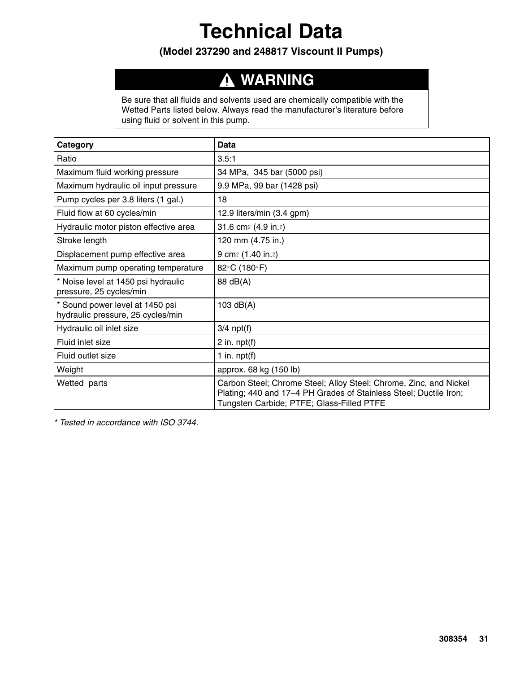#### **(Model 237290 and 248817 Viscount II Pumps)**

#### **WARNING**  $\boldsymbol{\Lambda}$

Be sure that all fluids and solvents used are chemically compatible with the Wetted Parts listed below. Always read the manufacturer's literature before using fluid or solvent in this pump.

| Category                                                             | Data                                                                                                                                                                                |
|----------------------------------------------------------------------|-------------------------------------------------------------------------------------------------------------------------------------------------------------------------------------|
| Ratio                                                                | 3.5:1                                                                                                                                                                               |
| Maximum fluid working pressure                                       | 34 MPa, 345 bar (5000 psi)                                                                                                                                                          |
| Maximum hydraulic oil input pressure                                 | 9.9 MPa, 99 bar (1428 psi)                                                                                                                                                          |
| Pump cycles per 3.8 liters (1 gal.)                                  | 18                                                                                                                                                                                  |
| Fluid flow at 60 cycles/min                                          | 12.9 liters/min (3.4 gpm)                                                                                                                                                           |
| Hydraulic motor piston effective area                                | 31.6 cm <sup>2</sup> (4.9 in.2)                                                                                                                                                     |
| Stroke length                                                        | 120 mm (4.75 in.)                                                                                                                                                                   |
| Displacement pump effective area                                     | 9 cm <sup>2</sup> (1.40 in.2)                                                                                                                                                       |
| Maximum pump operating temperature                                   | 82°C (180°F)                                                                                                                                                                        |
| * Noise level at 1450 psi hydraulic<br>pressure, 25 cycles/min       | 88 dB(A)                                                                                                                                                                            |
| * Sound power level at 1450 psi<br>hydraulic pressure, 25 cycles/min | 103 $dB(A)$                                                                                                                                                                         |
| Hydraulic oil inlet size                                             | $3/4$ npt(f)                                                                                                                                                                        |
| Fluid inlet size                                                     | 2 in. $npt(f)$                                                                                                                                                                      |
| Fluid outlet size                                                    | 1 in. $npt(f)$                                                                                                                                                                      |
| Weight                                                               | approx. 68 kg (150 lb)                                                                                                                                                              |
| Wetted parts                                                         | Carbon Steel; Chrome Steel; Alloy Steel; Chrome, Zinc, and Nickel<br>Plating; 440 and 17-4 PH Grades of Stainless Steel; Ductile Iron;<br>Tungsten Carbide; PTFE; Glass-Filled PTFE |

*\* Tested in accordance with ISO 3744.*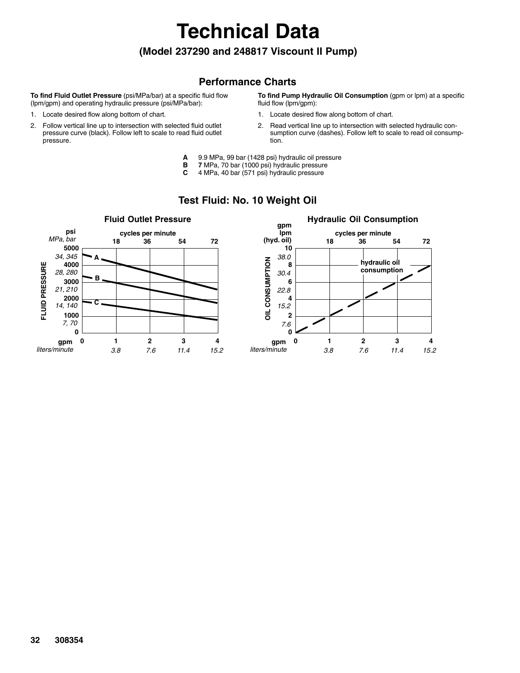**(Model 237290 and 248817 Viscount II Pump)**

**Technical Data**

#### **Performance Charts**

**To find Fluid Outlet Pressure** (psi/MPa/bar) at a specific fluid flow (lpm/gpm) and operating hydraulic pressure (psi/MPa/bar):

- 1. Locate desired flow along bottom of chart.
- 2. Follow vertical line up to intersection with selected fluid outlet pressure curve (black). Follow left to scale to read fluid outlet pressure.

**To find Pump Hydraulic Oil Consumption** (gpm or lpm) at a specific fluid flow (lpm/gpm):

- 1. Locate desired flow along bottom of chart.
- 2. Read vertical line up to intersection with selected hydraulic consumption curve (dashes). Follow left to scale to read oil consumption.
- **A** 9.9 MPa, 99 bar (1428 psi) hydraulic oil pressure
- **B** 7 MPa, 70 bar (1000 psi) hydraulic pressure<br>**C** 4 MPa, 40 bar (571 psi) hydraulic pressure
- **C** 4 MPa, 40 bar (571 psi) hydraulic pressure



#### **Test Fluid: No. 10 Weight Oil**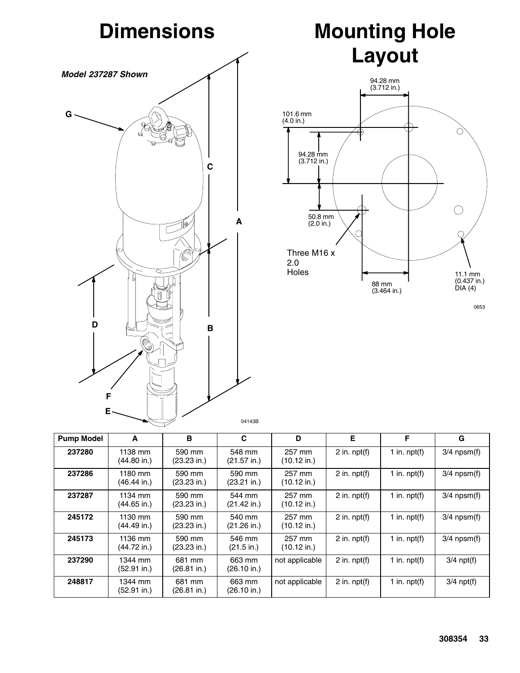

## **Mounting Hole Layout**



0653

| <b>Pump Model</b> | A                                | B                               | C                               | D                               | E                 | F              | G                |
|-------------------|----------------------------------|---------------------------------|---------------------------------|---------------------------------|-------------------|----------------|------------------|
| 237280            | 1138 mm<br>$(44.80 \text{ in.})$ | 590 mm<br>$(23.23 \text{ in.})$ | 548 mm<br>$(21.57$ in.)         | 257 mm<br>$(10.12 \text{ in.})$ | 2 in. $npt(f)$    | 1 in. $npt(f)$ | $3/4$ npsm $(f)$ |
| 237286            | 1180 mm<br>$(46.44$ in.)         | 590 mm<br>$(23.23 \text{ in.})$ | 590 mm<br>$(23.21$ in.)         | 257 mm<br>$(10.12 \text{ in.})$ | $2$ in. npt $(f)$ | 1 in. $npt(f)$ | $3/4$ npsm $(f)$ |
| 237287            | 1134 mm<br>$(44.65 \text{ in.})$ | 590 mm<br>(23.23 in.)           | 544 mm<br>$(21.42$ in.)         | 257 mm<br>$(10.12 \text{ in.})$ | 2 in. $npt(f)$    | 1 in. $npt(f)$ | $3/4$ npsm(f)    |
| 245172            | 1130 mm<br>$(44.49$ in.)         | 590 mm<br>$(23.23 \text{ in.})$ | 540 mm<br>$(21.26$ in.)         | 257 mm<br>$(10.12 \text{ in.})$ | 2 in. $npt(f)$    | 1 in. $npt(f)$ | $3/4$ npsm $(f)$ |
| 245173            | 1136 mm<br>$(44.72$ in.)         | 590 mm<br>$(23.23 \text{ in.})$ | 546 mm<br>(21.5 in.)            | 257 mm<br>$(10.12 \text{ in.})$ | 2 in. $npt(f)$    | 1 in. $npt(f)$ | $3/4$ npsm(f)    |
| 237290            | 1344 mm<br>$(52.91$ in.)         | 681 mm<br>$(26.81$ in.)         | 663 mm<br>$(26.10 \text{ in.})$ | not applicable                  | 2 in. $npt(f)$    | 1 in. $npt(f)$ | $3/4$ npt(f)     |
| 248817            | 1344 mm<br>(52.91 in.)           | 681 mm<br>(26.81 in.)           | 663 mm<br>$(26.10 \text{ in.})$ | not applicable                  | 2 in. $npt(f)$    | 1 in. $npt(f)$ | $3/4$ npt(f)     |